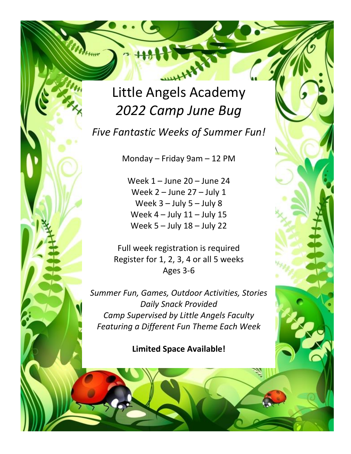## Little Angels Academy *2022 Camp June Bug*

Attune

*Five Fantastic Weeks of Summer Fun!*

Monday – Friday 9am – 12 PM

Week 1 – June 20 – June 24 Week 2 – June 27 – July 1 Week  $3 -$  July  $5 -$  July  $8$ Week  $4 -$  July  $11 -$  July  $15$ Week 5 – July 18 – July 22

Full week registration is required Register for 1, 2, 3, 4 or all 5 weeks Ages 3-6

*Summer Fun, Games, Outdoor Activities, Stories Daily Snack Provided Camp Supervised by Little Angels Faculty Featuring a Different Fun Theme Each Week*

**Limited Space Available!**